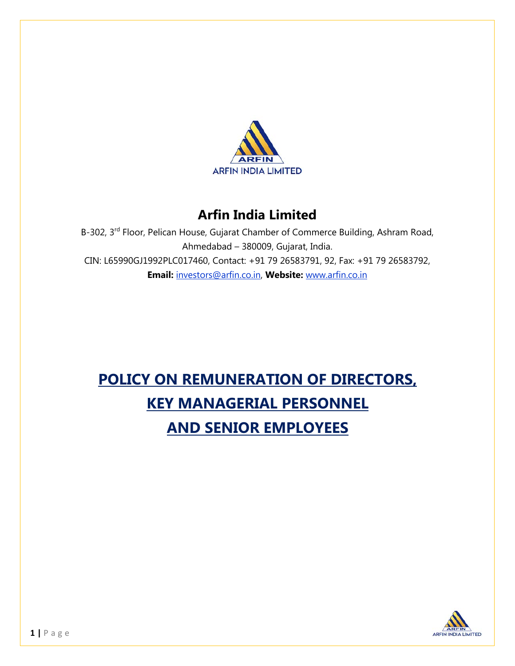

## **Arfin India Limited**

B-302, 3rd Floor, Pelican House, Gujarat Chamber of Commerce Building, Ashram Road, Ahmedabad – 380009, Gujarat, India. CIN: L65990GJ1992PLC017460, Contact: +91 79 26583791, 92, Fax: +91 79 26583792, **Email:** investors@arfin.co.in, **Website:** www.arfin.co.in

# **POLICY ON REMUNERATION OF DIRECTORS, KEY MANAGERIAL PERSONNEL AND SENIOR EMPLOYEES**

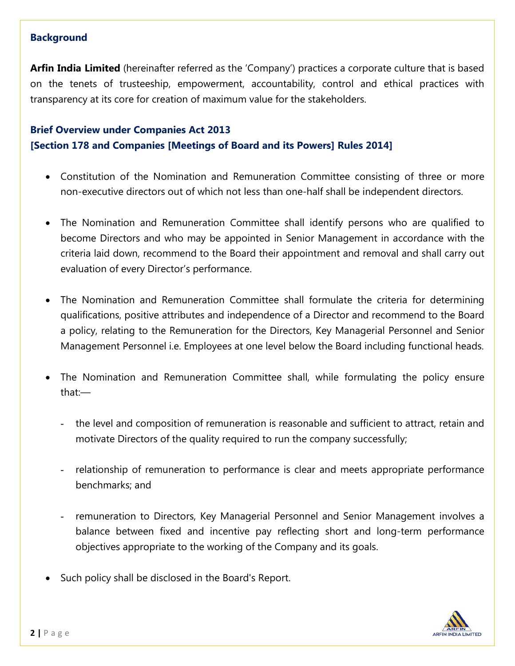#### **Background**

**Arfin India Limited** (hereinafter referred as the 'Company') practices a corporate culture that is based on the tenets of trusteeship, empowerment, accountability, control and ethical practices with transparency at its core for creation of maximum value for the stakeholders.

## **Brief Overview under Companies Act 2013 [Section 178 and Companies [Meetings of Board and its Powers] Rules 2014]**

- Constitution of the Nomination and Remuneration Committee consisting of three or more non-executive directors out of which not less than one-half shall be independent directors.
- The Nomination and Remuneration Committee shall identify persons who are qualified to become Directors and who may be appointed in Senior Management in accordance with the criteria laid down, recommend to the Board their appointment and removal and shall carry out evaluation of every Director's performance.
- The Nomination and Remuneration Committee shall formulate the criteria for determining qualifications, positive attributes and independence of a Director and recommend to the Board a policy, relating to the Remuneration for the Directors, Key Managerial Personnel and Senior Management Personnel i.e. Employees at one level below the Board including functional heads.
- The Nomination and Remuneration Committee shall, while formulating the policy ensure that:—
	- the level and composition of remuneration is reasonable and sufficient to attract, retain and motivate Directors of the quality required to run the company successfully;
	- relationship of remuneration to performance is clear and meets appropriate performance benchmarks; and
	- remuneration to Directors, Key Managerial Personnel and Senior Management involves a balance between fixed and incentive pay reflecting short and long-term performance objectives appropriate to the working of the Company and its goals.
- Such policy shall be disclosed in the Board's Report.

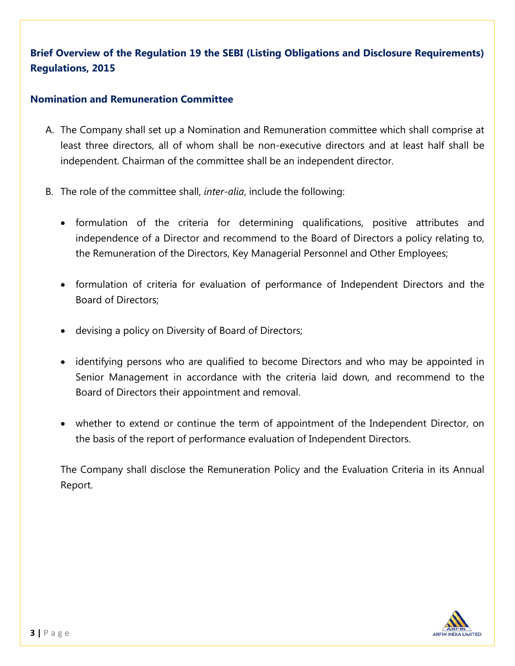## **Brief Overview of the Regulation 19 the SEBI (Listing Obligations and Disclosure Requirements) Regulations, 2015**

#### **Nomination and Remuneration Committee**

- A. The Company shall set up a Nomination and Remuneration committee which shall comprise at least three directors, all of whom shall be non-executive directors and at least half shall be independent. Chairman of the committee shall be an independent director.
- B. The role of the committee shall, *inter-alia*, include the following:
	- formulation of the criteria for determining qualifications, positive attributes and independence of a Director and recommend to the Board of Directors a policy relating to, the Remuneration of the Directors, Key Managerial Personnel and Other Employees;
	- formulation of criteria for evaluation of performance of Independent Directors and the Board of Directors;
	- devising a policy on Diversity of Board of Directors;
	- identifying persons who are qualified to become Directors and who may be appointed in Senior Management in accordance with the criteria laid down, and recommend to the Board of Directors their appointment and removal.
	- whether to extend or continue the term of appointment of the Independent Director, on the basis of the report of performance evaluation of Independent Directors.

The Company shall disclose the Remuneration Policy and the Evaluation Criteria in its Annual Report.

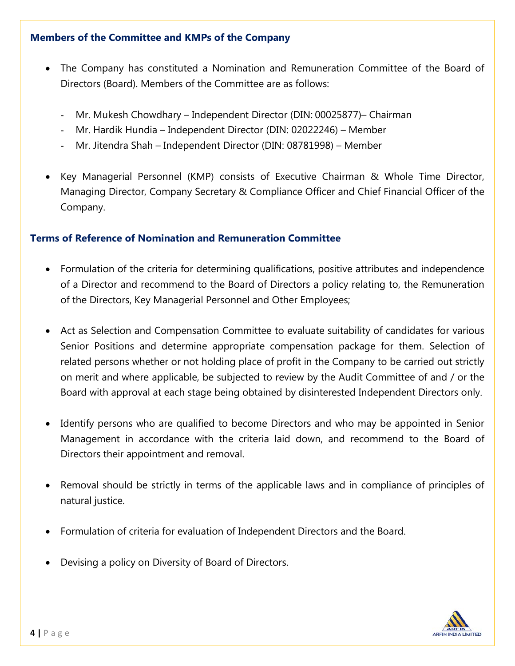#### **Members of the Committee and KMPs of the Company**

- The Company has constituted a Nomination and Remuneration Committee of the Board of Directors (Board). Members of the Committee are as follows:
	- Mr. Mukesh Chowdhary Independent Director (DIN: 00025877)– Chairman
	- Mr. Hardik Hundia Independent Director (DIN: 02022246) Member
	- Mr. Jitendra Shah Independent Director (DIN: 08781998) Member
- Key Managerial Personnel (KMP) consists of Executive Chairman & Whole Time Director, Managing Director, Company Secretary & Compliance Officer and Chief Financial Officer of the Company.

#### **Terms of Reference of Nomination and Remuneration Committee**

- Formulation of the criteria for determining qualifications, positive attributes and independence of a Director and recommend to the Board of Directors a policy relating to, the Remuneration of the Directors, Key Managerial Personnel and Other Employees;
- Act as Selection and Compensation Committee to evaluate suitability of candidates for various Senior Positions and determine appropriate compensation package for them. Selection of related persons whether or not holding place of profit in the Company to be carried out strictly on merit and where applicable, be subjected to review by the Audit Committee of and / or the Board with approval at each stage being obtained by disinterested Independent Directors only.
- Identify persons who are qualified to become Directors and who may be appointed in Senior Management in accordance with the criteria laid down, and recommend to the Board of Directors their appointment and removal.
- Removal should be strictly in terms of the applicable laws and in compliance of principles of natural justice.
- Formulation of criteria for evaluation of Independent Directors and the Board.
- Devising a policy on Diversity of Board of Directors.

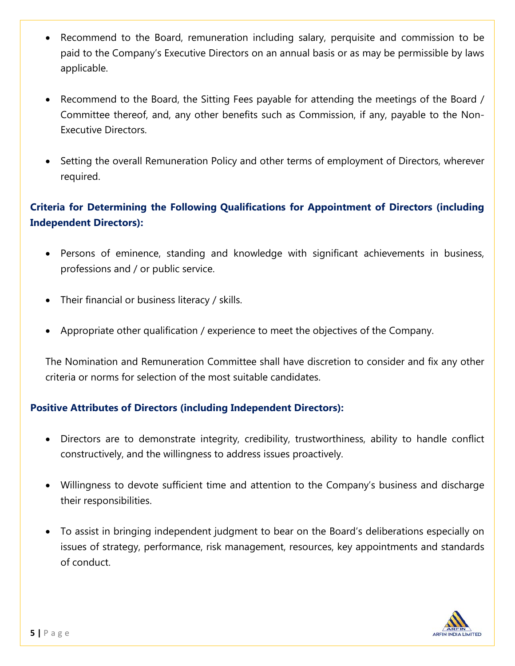- Recommend to the Board, remuneration including salary, perquisite and commission to be paid to the Company's Executive Directors on an annual basis or as may be permissible by laws applicable.
- Recommend to the Board, the Sitting Fees payable for attending the meetings of the Board / Committee thereof, and, any other benefits such as Commission, if any, payable to the Non-Executive Directors.
- Setting the overall Remuneration Policy and other terms of employment of Directors, wherever required.

## **Criteria for Determining the Following Qualifications for Appointment of Directors (including Independent Directors):**

- Persons of eminence, standing and knowledge with significant achievements in business, professions and / or public service.
- Their financial or business literacy / skills.
- Appropriate other qualification / experience to meet the objectives of the Company.

The Nomination and Remuneration Committee shall have discretion to consider and fix any other criteria or norms for selection of the most suitable candidates.

#### **Positive Attributes of Directors (including Independent Directors):**

- Directors are to demonstrate integrity, credibility, trustworthiness, ability to handle conflict constructively, and the willingness to address issues proactively.
- Willingness to devote sufficient time and attention to the Company's business and discharge their responsibilities.
- To assist in bringing independent judgment to bear on the Board's deliberations especially on issues of strategy, performance, risk management, resources, key appointments and standards of conduct.

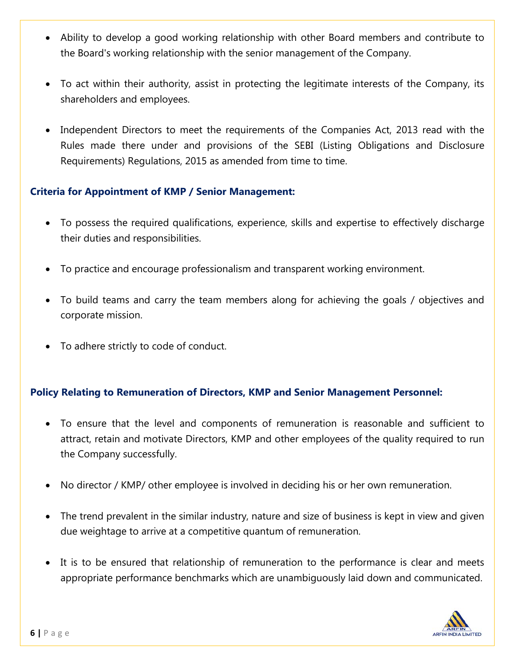- Ability to develop a good working relationship with other Board members and contribute to the Board's working relationship with the senior management of the Company.
- To act within their authority, assist in protecting the legitimate interests of the Company, its shareholders and employees.
- Independent Directors to meet the requirements of the Companies Act, 2013 read with the Rules made there under and provisions of the SEBI (Listing Obligations and Disclosure Requirements) Regulations, 2015 as amended from time to time.

#### **Criteria for Appointment of KMP / Senior Management:**

- To possess the required qualifications, experience, skills and expertise to effectively discharge their duties and responsibilities.
- To practice and encourage professionalism and transparent working environment.
- To build teams and carry the team members along for achieving the goals / objectives and corporate mission.
- To adhere strictly to code of conduct.

### **Policy Relating to Remuneration of Directors, KMP and Senior Management Personnel:**

- To ensure that the level and components of remuneration is reasonable and sufficient to attract, retain and motivate Directors, KMP and other employees of the quality required to run the Company successfully.
- No director / KMP/ other employee is involved in deciding his or her own remuneration.
- The trend prevalent in the similar industry, nature and size of business is kept in view and given due weightage to arrive at a competitive quantum of remuneration.
- It is to be ensured that relationship of remuneration to the performance is clear and meets appropriate performance benchmarks which are unambiguously laid down and communicated.